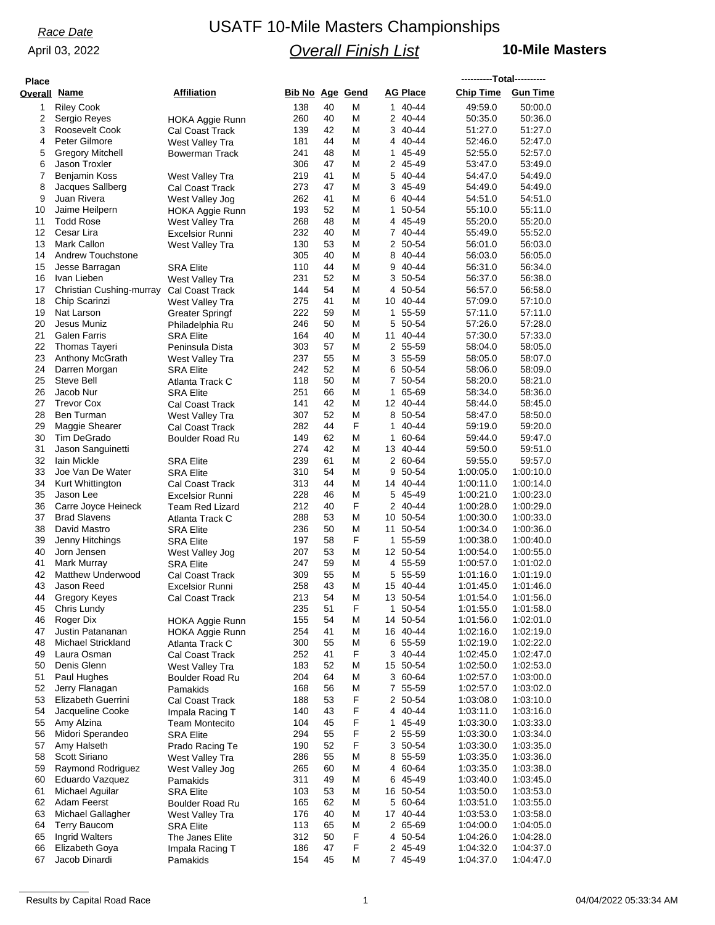#### *Race Date*

### April 03, 2022

# USATF 10-Mile Masters Championships *Overall Finish List*

**10-Mile Masters**

| <b>Place</b> |                                 |                                           |                 |          |        |                         | ----------Total---------- |                      |
|--------------|---------------------------------|-------------------------------------------|-----------------|----------|--------|-------------------------|---------------------------|----------------------|
| Overall Name |                                 | <b>Affiliation</b>                        | Bib No Age Gend |          |        | AG Place                | <b>Chip Time</b>          | <b>Gun Time</b>      |
| 1            | <b>Riley Cook</b>               |                                           | 138             | 40       | M      | 1 40-44                 | 49:59.0                   | 50:00.0              |
| 2            | Sergio Reyes                    | HOKA Aggie Runn                           | 260             | 40       | M      | 2 40-44                 | 50:35.0                   | 50:36.0              |
| 3            | Roosevelt Cook                  | Cal Coast Track                           | 139             | 42       | M      | 3<br>40-44              | 51:27.0                   | 51:27.0              |
| 4            | Peter Gilmore                   | West Valley Tra                           | 181             | 44       | M      | 4 40-44                 | 52:46.0                   | 52:47.0              |
| 5            | <b>Gregory Mitchell</b>         | <b>Bowerman Track</b>                     | 241             | 48       | M      | 45-49<br>1              | 52:55.0                   | 52:57.0              |
| 6            | Jason Troxler                   |                                           | 306             | 47       | M      | 45-49<br>2              | 53:47.0                   | 53:49.0              |
| 7            | Benjamin Koss                   | West Valley Tra                           | 219             | 41       | М      | 40-44<br>5              | 54:47.0                   | 54:49.0              |
| 8            | Jacques Sallberg                | <b>Cal Coast Track</b>                    | 273             | 47       | M      | 45-49<br>3              | 54:49.0                   | 54:49.0              |
| 9            | Juan Rivera                     | West Valley Jog                           | 262             | 41       | M      | 40-44<br>6              | 54:51.0                   | 54:51.0              |
| 10           | Jaime Heilpern                  | <b>HOKA Aggie Runn</b>                    | 193             | 52       | M      | 50-54<br>1              | 55:10.0                   | 55:11.0              |
| 11           | <b>Todd Rose</b>                | West Valley Tra                           | 268             | 48       | M      | 45-49<br>4              | 55:20.0                   | 55:20.0              |
| 12           | Cesar Lira                      | <b>Excelsior Runni</b>                    | 232             | 40       | M      | 7 40-44                 | 55:49.0                   | 55:52.0              |
| 13           | <b>Mark Callon</b>              | West Valley Tra                           | 130             | 53       | M      | 50-54<br>2              | 56:01.0                   | 56:03.0              |
| 14           | Andrew Touchstone               |                                           | 305             | 40       | M      | 8<br>40-44              | 56:03.0                   | 56:05.0              |
| 15           | Jesse Barragan                  | <b>SRA Elite</b>                          | 110             | 44       | М      | 40-44<br>9              | 56:31.0                   | 56:34.0              |
| 16           | Ivan Lieben                     | West Valley Tra                           | 231             | 52       | M      | 50-54<br>3              | 56:37.0                   | 56:38.0              |
| 17           | Christian Cushing-murray        | Cal Coast Track                           | 144             | 54       | M      | 50-54<br>4              | 56:57.0                   | 56.58.0              |
| 18           | Chip Scarinzi                   | West Valley Tra                           | 275             | 41       | M      | 10 40-44                | 57:09.0                   | 57:10.0              |
| 19           | Nat Larson                      | <b>Greater Springf</b>                    | 222             | 59       | M      | 55-59<br>1              | 57:11.0                   | 57:11.0              |
| 20           | Jesus Muniz                     | Philadelphia Ru                           | 246             | 50       | M      | 50-54<br>5              | 57:26.0                   | 57:28.0              |
| 21           | <b>Galen Farris</b>             | <b>SRA Elite</b>                          | 164             | 40       | M      | 11 40-44                | 57:30.0                   | 57:33.0              |
| 22           | <b>Thomas Tayeri</b>            | Peninsula Dista                           | 303             | 57       | M      | 2 55-59                 | 58:04.0                   | 58:05.0              |
| 23           | Anthony McGrath                 | West Valley Tra                           | 237             | 55       | М      | 3 55-59                 | 58:05.0                   | 58:07.0              |
| 24           | Darren Morgan                   | <b>SRA Elite</b>                          | 242             | 52       | M      | 50-54<br>6              | 58:06.0                   | 58:09.0              |
| 25           | <b>Steve Bell</b>               | Atlanta Track C                           | 118             | 50       | M      | 50-54<br>$\overline{7}$ | 58:20.0                   | 58:21.0              |
| 26           | Jacob Nur                       | <b>SRA Elite</b>                          | 251             | 66       | M      | 65-69<br>1              | 58:34.0                   | 58:36.0              |
| 27           | <b>Trevor Cox</b>               | Cal Coast Track                           | 141             | 42       | M      | 12 40-44                | 58:44.0                   | 58:45.0              |
| 28           | Ben Turman                      | West Valley Tra                           | 307             | 52       | M<br>F | 8 50-54                 | 58:47.0                   | 58:50.0              |
| 29           | Maggie Shearer                  | Cal Coast Track                           | 282             | 44       |        | 40-44<br>1              | 59:19.0                   | 59:20.0              |
| 30           | Tim DeGrado                     | <b>Boulder Road Ru</b>                    | 149             | 62<br>42 | M      | 1<br>60-64              | 59:44.0                   | 59:47.0              |
| 31<br>32     | Jason Sanguinetti               |                                           | 274<br>239      |          | М      | 13 40-44                | 59:50.0                   | 59:51.0              |
| 33           | lain Mickle<br>Joe Van De Water | <b>SRA Elite</b>                          | 310             | 61<br>54 | M<br>M | 2 60-64<br>50-54<br>9   | 59:55.0<br>1:00:05.0      | 59:57.0<br>1:00:10.0 |
| 34           | Kurt Whittington                | <b>SRA Elite</b>                          | 313             | 44       | M      | 14 40-44                | 1:00:11.0                 | 1:00:14.0            |
| 35           | Jason Lee                       | Cal Coast Track<br><b>Excelsior Runni</b> | 228             | 46       | M      | 45-49<br>5              | 1:00:21.0                 | 1:00:23.0            |
| 36           | Carre Joyce Heineck             | Team Red Lizard                           | 212             | 40       | F      | 2 40-44                 | 1:00:28.0                 | 1:00:29.0            |
| 37           | <b>Brad Slavens</b>             | Atlanta Track C                           | 288             | 53       | M      | 50-54<br>10             | 1:00:30.0                 | 1:00:33.0            |
| 38           | David Mastro                    | <b>SRA Elite</b>                          | 236             | 50       | M      | 11 50-54                | 1:00:34.0                 | 1:00:36.0            |
| 39           | Jenny Hitchings                 | <b>SRA Elite</b>                          | 197             | 58       | F      | 55-59<br>1.             | 1:00:38.0                 | 1:00:40.0            |
| 40           | Jorn Jensen                     | West Valley Jog                           | 207             | 53       | M      | 12 50-54                | 1:00:54.0                 | 1:00:55.0            |
| 41           | Mark Murray                     | <b>SRA Elite</b>                          | 247             | 59       | M      | 55-59<br>4              | 1:00:57.0                 | 1:01:02.0            |
| 42           | <b>Matthew Underwood</b>        | Cal Coast Track                           | 309             | 55       | M      | 55-59<br>5              | 1:01:16.0                 | 1:01:19.0            |
| 43           | Jason Reed                      | <b>Excelsior Runni</b>                    | 258             | 43       | M      | 15 40-44                | 1:01:45.0                 | 1:01:46.0            |
| 44           | Gregory Keyes                   | Cal Coast Track                           | 213             | 54       | М      | 13 50-54                | 1:01:54.0                 | 1:01:56.0            |
| 45           | Chris Lundy                     |                                           | 235             | 51       | F      | 1 50-54                 | 1:01:55.0                 | 1:01:58.0            |
| 46           | Roger Dix                       | HOKA Aggie Runn                           | 155             | 54       | M      | 14 50-54                | 1:01:56.0                 | 1:02:01.0            |
| 47           | Justin Patananan                | <b>HOKA Aggie Runn</b>                    | 254             | 41       | M      | 16 40-44                | 1:02:16.0                 | 1:02:19.0            |
| 48           | <b>Michael Strickland</b>       | Atlanta Track C                           | 300             | 55       | M      | 55-59<br>6              | 1:02:19.0                 | 1:02:22.0            |
| 49           | Laura Osman                     | Cal Coast Track                           | 252             | 41       | F      | 3 40-44                 | 1:02:45.0                 | 1:02:47.0            |
| 50           | Denis Glenn                     | West Valley Tra                           | 183             | 52       | M      | 15 50-54                | 1:02:50.0                 | 1:02:53.0            |
| 51           | Paul Hughes                     | Boulder Road Ru                           | 204             | 64       | M      | 3 60-64                 | 1:02:57.0                 | 1:03:00.0            |
| 52           | Jerry Flanagan                  | Pamakids                                  | 168             | 56       | M      | 7 55-59                 | 1:02:57.0                 | 1:03:02.0            |
| 53           | Elizabeth Guerrini              | Cal Coast Track                           | 188             | 53       | F      | 2 50-54                 | 1:03:08.0                 | 1:03:10.0            |
| 54           | Jacqueline Cooke                | Impala Racing T                           | 140             | 43       | F      | 40-44<br>4              | 1:03:11.0                 | 1:03:16.0            |
| 55           | Amy Alzina                      | <b>Team Montecito</b>                     | 104             | 45       | F      | 1 45-49                 | 1:03:30.0                 | 1:03:33.0            |
| 56           | Midori Sperandeo                | <b>SRA Elite</b>                          | 294             | 55       | F      | 2 55-59                 | 1:03:30.0                 | 1:03:34.0            |
| 57           | Amy Halseth                     | Prado Racing Te                           | 190             | 52       | F      | 3 50-54                 | 1:03:30.0                 | 1:03:35.0            |
| 58           | Scott Siriano                   | West Valley Tra                           | 286             | 55       | M      | 8 55-59                 | 1:03:35.0                 | 1:03:36.0            |
| 59           | Raymond Rodriguez               | West Valley Jog                           | 265             | 60       | M      | 60-64<br>4              | 1:03:35.0                 | 1:03:38.0            |
| 60           | Eduardo Vazquez                 | Pamakids                                  | 311             | 49       | M      | 45-49<br>6              | 1:03:40.0                 | 1:03:45.0            |
| 61           | Michael Aguilar                 | SRA Elite                                 | 103             | 53       | M      | 16 50-54                | 1:03:50.0                 | 1:03:53.0            |
| 62           | Adam Feerst                     | Boulder Road Ru                           | 165             | 62       | Μ      | 5<br>60-64              | 1:03:51.0                 | 1:03:55.0            |
| 63           | Michael Gallagher               | West Valley Tra                           | 176             | 40       | M      | 17 40-44                | 1:03:53.0                 | 1:03:58.0            |
| 64           | <b>Terry Baucom</b>             | <b>SRA Elite</b>                          | 113             | 65       | M      | 2 65-69                 | 1:04:00.0                 | 1:04:05.0            |
| 65           | Ingrid Walters                  | The Janes Elite                           | 312             | 50       | F      | 50-54<br>4              | 1:04:26.0                 | 1:04:28.0            |
| 66           | Elizabeth Goya                  | Impala Racing T                           | 186             | 47       | F      | 2 45-49                 | 1:04:32.0                 | 1:04:37.0            |
| 67           | Jacob Dinardi                   | Pamakids                                  | 154             | 45       | Μ      | 7 45-49                 | 1:04:37.0                 | 1:04:47.0            |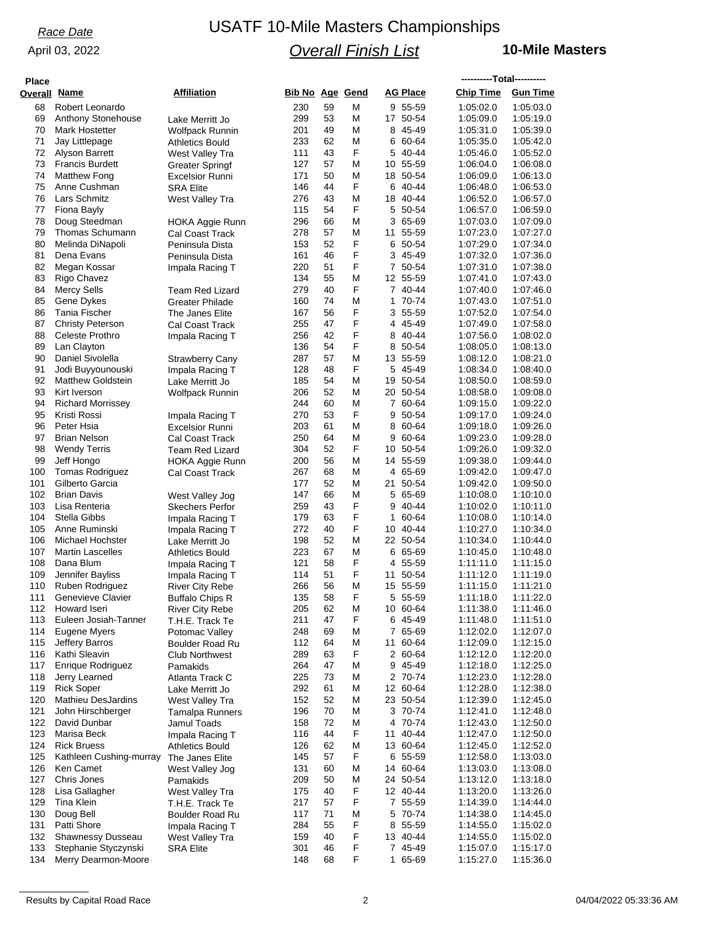#### *Race Date*

### April 03, 2022

# USATF 10-Mile Masters Championships *Overall Finish List*

**10-Mile Masters**

| <b>Place</b> |                                   |                                                  |                        |          |        |                  | ----------Total---------- |                        |
|--------------|-----------------------------------|--------------------------------------------------|------------------------|----------|--------|------------------|---------------------------|------------------------|
| Overall Name |                                   | <b>Affiliation</b>                               | <b>Bib No Age Gend</b> |          |        | <b>AG Place</b>  | <b>Chip Time</b>          | <b>Gun Time</b>        |
| 68           | Robert Leonardo                   |                                                  | 230                    | 59       | M      | 9 55-59          | 1:05:02.0                 | 1:05:03.0              |
| 69           | Anthony Stonehouse                | Lake Merritt Jo                                  | 299                    | 53       | M      | 17 50-54         | 1:05:09.0                 | 1:05:19.0              |
| 70           | Mark Hostetter                    | Wolfpack Runnin                                  | 201                    | 49       | М      | 45-49<br>8       | 1:05:31.0                 | 1:05:39.0              |
| 71           | Jay Littlepage                    | <b>Athletics Bould</b>                           | 233                    | 62       | M      | 6 60-64          | 1:05:35.0                 | 1:05:42.0              |
| 72           | Alyson Barrett                    | West Valley Tra                                  | 111                    | 43       | F      | 40-44<br>5       | 1:05:46.0                 | 1:05:52.0              |
| 73           | <b>Francis Burdett</b>            | <b>Greater Springf</b>                           | 127                    | 57       | M      | 10 55-59         | 1:06:04.0                 | 1:06:08.0              |
| 74           | Matthew Fong                      | <b>Excelsior Runni</b>                           | 171                    | 50       | М      | 18 50-54         | 1:06:09.0                 | 1:06:13.0              |
| 75           | Anne Cushman                      | <b>SRA Elite</b>                                 | 146                    | 44       | F      | 6 40-44          | 1:06:48.0                 | 1:06:53.0              |
| 76           | Lars Schmitz                      | West Valley Tra                                  | 276                    | 43       | M      | 18 40-44         | 1:06:52.0                 | 1:06:57.0              |
| 77           | Fiona Bayly                       |                                                  | 115                    | 54       | F      | 5 50-54          | 1:06:57.0                 | 1:06:59.0              |
| 78           | Doug Steedman                     | <b>HOKA Aggie Runn</b>                           | 296                    | 66       | M      | 65-69<br>3       | 1:07:03.0                 | 1:07:09.0              |
| 79           | Thomas Schumann                   | <b>Cal Coast Track</b>                           | 278                    | 57       | M      | 11 55-59         | 1:07:23.0                 | 1:07:27.0              |
| 80           | Melinda DiNapoli                  | Peninsula Dista                                  | 153                    | 52       | F      | 6<br>50-54       | 1:07:29.0                 | 1:07:34.0              |
| 81           | Dena Evans                        | Peninsula Dista                                  | 161                    | 46       | F      | 3<br>45-49       | 1:07:32.0                 | 1:07:36.0              |
| 82           | Megan Kossar                      | Impala Racing T                                  | 220                    | 51       | F      | 7 50-54          | 1:07:31.0                 | 1:07:38.0              |
| 83           | Rigo Chavez                       |                                                  | 134                    | 55       | M      | 12 55-59         | 1.07:41.0                 | 1:07:43.0              |
| 84           | <b>Mercy Sells</b>                | <b>Team Red Lizard</b>                           | 279                    | 40       | F      | 7 40-44          | 1:07:40.0                 | 1:07:46.0              |
| 85           | Gene Dykes                        | <b>Greater Philade</b>                           | 160                    | 74       | M      | 70-74<br>1       | 1:07:43.0                 | 1:07:51.0              |
| 86           | Tania Fischer                     | The Janes Elite                                  | 167                    | 56       | F      | 55-59<br>3       | 1:07:52.0                 | 1:07:54.0              |
| 87           | Christy Peterson                  | Cal Coast Track                                  | 255                    | 47       | F      | 4 45-49          | 1:07:49.0                 | 1:07:58.0              |
| 88           | Celeste Prothro                   | Impala Racing T                                  | 256                    | 42       | F      | 40-44<br>8       | 1:07:56.0                 | 1:08:02.0              |
| 89           | Lan Clayton                       |                                                  | 136                    | 54       | F      | 50-54<br>8       | 1:08:05.0                 | 1:08:13.0              |
| 90           | Daniel Sivolella                  | <b>Strawberry Cany</b>                           | 287                    | 57       | М      | 13 55-59         | 1:08:12.0                 | 1:08:21.0              |
| 91           | Jodi Buyyounouski                 | Impala Racing T                                  | 128                    | 48       | F      | 45-49<br>5       | 1:08:34.0                 | 1:08:40.0              |
| 92           | <b>Matthew Goldstein</b>          | Lake Merritt Jo                                  | 185                    | 54       | M      | 19 50-54         | 1:08:50.0                 | 1:08:59.0              |
| 93           | Kirt Iverson                      | <b>Wolfpack Runnin</b>                           | 206                    | 52       | M      | 20 50-54         | 1:08:58.0                 | 1:09:08.0              |
| 94           | <b>Richard Morrissey</b>          |                                                  | 244                    | 60       | М      | 7 60-64          | 1:09:15.0                 | 1:09:22.0              |
| 95           | Kristi Rossi                      | Impala Racing T                                  | 270                    | 53       | F      | 50-54<br>9       | 1:09:17.0                 | 1:09:24.0              |
| 96           | Peter Hsia                        | <b>Excelsior Runni</b>                           | 203                    | 61       | M      | 8<br>60-64       | 1:09:18.0                 | 1:09:26.0              |
| 97           | <b>Brian Nelson</b>               | <b>Cal Coast Track</b>                           | 250                    | 64       | Μ      | 9<br>60-64       | 1:09:23.0                 | 1:09:28.0              |
| 98           | <b>Wendy Terris</b>               | Team Red Lizard                                  | 304                    | 52       | F      | 10 50-54         | 1:09:26.0                 | 1:09:32.0              |
| 99           | Jeff Hongo                        | HOKA Aggie Runn                                  | 200                    | 56       | M      | 14<br>55-59      | 1:09:38.0                 | 1:09:44.0              |
| 100          | Tomas Rodriguez                   | Cal Coast Track                                  | 267                    | 68       | Μ      | 4 65-69          | 1:09:42.0                 | 1:09:47.0              |
| 101          | Gilberto Garcia                   |                                                  | 177                    | 52       | Μ      | 21 50-54         | 1:09:42.0                 | 1:09:50.0              |
| 102          | <b>Brian Davis</b>                | West Valley Jog                                  | 147                    | 66       | М      | 5<br>65-69       | 1:10:08.0                 | 1:10:10.0              |
| 103          | Lisa Renteria                     | <b>Skechers Perfor</b>                           | 259                    | 43       | F      | 40-44<br>9       | 1:10:02.0                 | 1:10:11.0              |
| 104          | Stella Gibbs                      | Impala Racing T                                  | 179                    | 63       | F<br>F | 60-64<br>1       | 1:10:08.0                 | 1:10:14.0              |
| 105          | Anne Ruminski<br>Michael Hochster | Impala Racing T                                  | 272<br>198             | 40<br>52 |        | 10<br>40-44      | 1:10:27.0                 | 1:10:34.0              |
| 106<br>107   | <b>Martin Lascelles</b>           | Lake Merritt Jo                                  | 223                    | 67       | Μ<br>M | 22 50-54         | 1:10:34.0                 | 1:10:44.0<br>1:10:48.0 |
| 108          | Dana Blum                         | <b>Athletics Bould</b>                           | 121                    | 58       | F      | 6 65-69<br>55-59 | 1:10:45.0<br>1:11:11.0    | 1:11:15.0              |
| 109          | Jennifer Bayliss                  | Impala Racing T                                  | 114                    | 51       | F      | 4<br>50-54<br>11 | 1:11:12.0                 | 1:11:19.0              |
| 110          | Ruben Rodriguez                   | Impala Racing T                                  | 266                    | 56       | M      | 15 55-59         | 1:11:15.0                 | 1:11:21.0              |
| 111          | Genevieve Clavier                 | <b>River City Rebe</b>                           | 135                    | 58       | F      | 5<br>55-59       | 1:11:18.0                 | 1:11:22.0              |
| 112          | Howard Iseri                      | <b>Buffalo Chips R</b><br><b>River City Rebe</b> | 205                    | 62       | M      | 10 60-64         | 1:11:38.0                 | 1:11:46.0              |
| 113          | Euleen Josiah-Tanner              | T.H.E. Track Te                                  | 211                    | 47       | F      | 6 45-49          | 1:11:48.0                 | 1:11:51.0              |
| 114          | Eugene Myers                      | Potomac Valley                                   | 248                    | 69       | M      | 7 65-69          | 1:12:02.0                 | 1:12:07.0              |
| 115          | Jeffery Barros                    | <b>Boulder Road Ru</b>                           | 112                    | 64       | Μ      | 11<br>60-64      | 1:12:09.0                 | 1:12:15.0              |
| 116          | Kathi Sleavin                     | Club Northwest                                   | 289                    | 63       | F      | 2 60-64          | 1:12:12.0                 | 1:12:20.0              |
| 117          | Enrique Rodriguez                 | Pamakids                                         | 264                    | 47       | M      | 9 45-49          | 1:12:18.0                 | 1:12:25.0              |
| 118          | Jerry Learned                     | Atlanta Track C                                  | 225                    | 73       | Μ      | 2 70-74          | 1:12:23.0                 | 1:12:28.0              |
| 119          | <b>Rick Soper</b>                 | Lake Merritt Jo                                  | 292                    | 61       | M      | 12 60-64         | 1:12:28.0                 | 1:12:38.0              |
| 120          | <b>Mathieu DesJardins</b>         | West Valley Tra                                  | 152                    | 52       | Μ      | 23 50-54         | 1:12:39.0                 | 1:12:45.0              |
| 121          | John Hirschberger                 | <b>Tamalpa Runners</b>                           | 196                    | 70       | Μ      | 3 70-74          | 1:12:41.0                 | 1:12:48.0              |
| 122          | David Dunbar                      | Jamul Toads                                      | 158                    | 72       | M      | 4 70-74          | 1:12:43.0                 | 1:12:50.0              |
| 123          | Marisa Beck                       | Impala Racing T                                  | 116                    | 44       | F      | 40-44<br>11      | 1:12:47.0                 | 1:12:50.0              |
| 124          | <b>Rick Bruess</b>                | <b>Athletics Bould</b>                           | 126                    | 62       | Μ      | 13 60-64         | 1:12:45.0                 | 1:12:52.0              |
| 125          | Kathleen Cushing-murray           | The Janes Elite                                  | 145                    | 57       | F      | 6 55-59          | 1:12:58.0                 | 1:13:03.0              |
| 126          | Ken Camet                         | West Valley Jog                                  | 131                    | 60       | Μ      | 14 60-64         | 1:13:03.0                 | 1:13:08.0              |
| 127          | Chris Jones                       | Pamakids                                         | 209                    | 50       | M      | 24 50-54         | 1:13:12.0                 | 1:13:18.0              |
| 128          | Lisa Gallagher                    | West Valley Tra                                  | 175                    | 40       | F      | 12 40-44         | 1:13:20.0                 | 1:13:26.0              |
| 129          | Tina Klein                        | T.H.E. Track Te                                  | 217                    | 57       | F      | 7 55-59          | 1:14:39.0                 | 1:14:44.0              |
| 130          | Doug Bell                         | Boulder Road Ru                                  | 117                    | 71       | M      | 5 70-74          | 1:14:38.0                 | 1:14:45.0              |
| 131          | Patti Shore                       | Impala Racing T                                  | 284                    | 55       | F      | 8 55-59          | 1:14:55.0                 | 1:15:02.0              |
| 132          | Shawnessy Dusseau                 | West Valley Tra                                  | 159                    | 40       | F      | 13 40-44         | 1:14:55.0                 | 1:15:02.0              |
| 133          | Stephanie Styczynski              | <b>SRA Elite</b>                                 | 301                    | 46       | F      | 7 45-49          | 1:15:07.0                 | 1:15:17.0              |
| 134          | Merry Dearmon-Moore               |                                                  | 148                    | 68       | F      | 1 65-69          | 1:15:27.0                 | 1:15:36.0              |